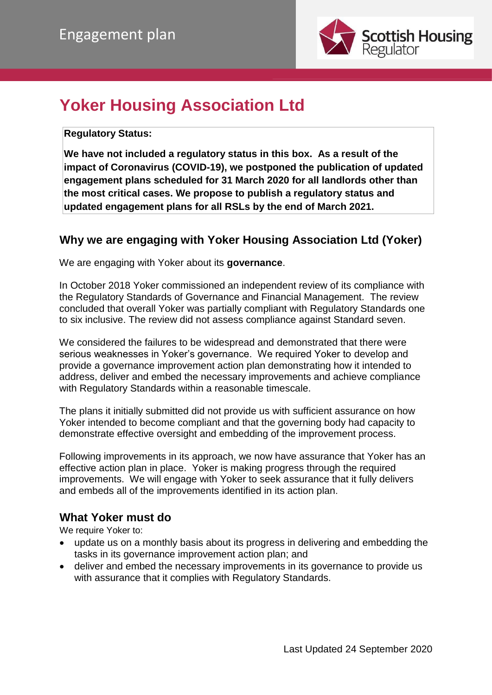

# **Yoker Housing Association Ltd**

**Regulatory Status:** 

**We have not included a regulatory status in this box. As a result of the impact of Coronavirus (COVID-19), we postponed the publication of updated engagement plans scheduled for 31 March 2020 for all landlords other than the most critical cases. We propose to publish a regulatory status and updated engagement plans for all RSLs by the end of March 2021.**

## **Why we are engaging with Yoker Housing Association Ltd (Yoker)**

We are engaging with Yoker about its **governance**.

In October 2018 Yoker commissioned an independent review of its compliance with the Regulatory Standards of Governance and Financial Management. The review concluded that overall Yoker was partially compliant with Regulatory Standards one to six inclusive. The review did not assess compliance against Standard seven.

We considered the failures to be widespread and demonstrated that there were serious weaknesses in Yoker's governance. We required Yoker to develop and provide a governance improvement action plan demonstrating how it intended to address, deliver and embed the necessary improvements and achieve compliance with Regulatory Standards within a reasonable timescale.

The plans it initially submitted did not provide us with sufficient assurance on how Yoker intended to become compliant and that the governing body had capacity to demonstrate effective oversight and embedding of the improvement process.

Following improvements in its approach, we now have assurance that Yoker has an effective action plan in place. Yoker is making progress through the required improvements. We will engage with Yoker to seek assurance that it fully delivers and embeds all of the improvements identified in its action plan.

## **What Yoker must do**

We require Yoker to:

- update us on a monthly basis about its progress in delivering and embedding the tasks in its governance improvement action plan; and
- deliver and embed the necessary improvements in its governance to provide us with assurance that it complies with Regulatory Standards.